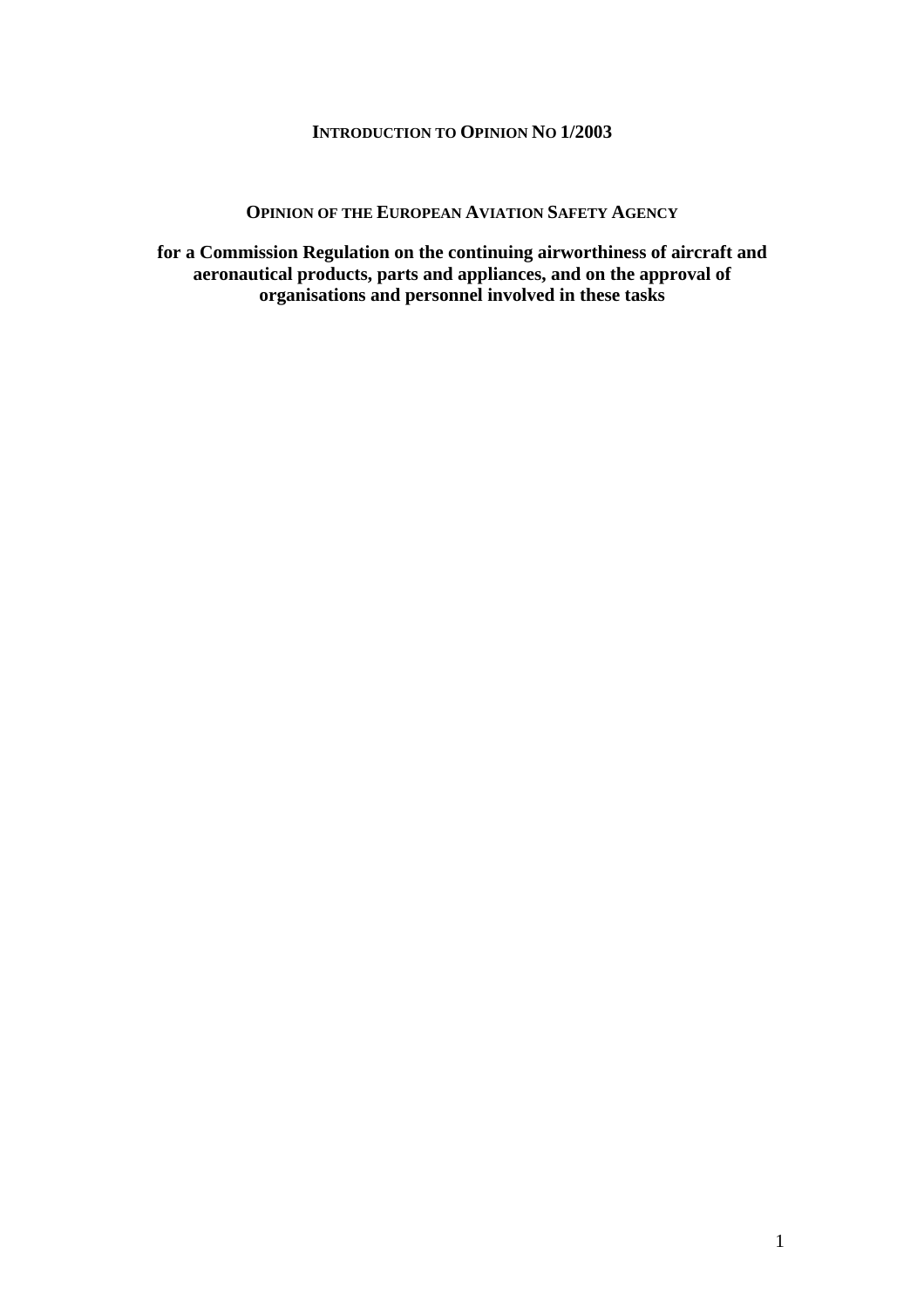## **INTRODUCTION TO OPINION NO 1/2003**

## **OPINION OF THE EUROPEAN AVIATION SAFETY AGENCY**

**for a Commission Regulation on the continuing airworthiness of aircraft and aeronautical products, parts and appliances, and on the approval of organisations and personnel involved in these tasks**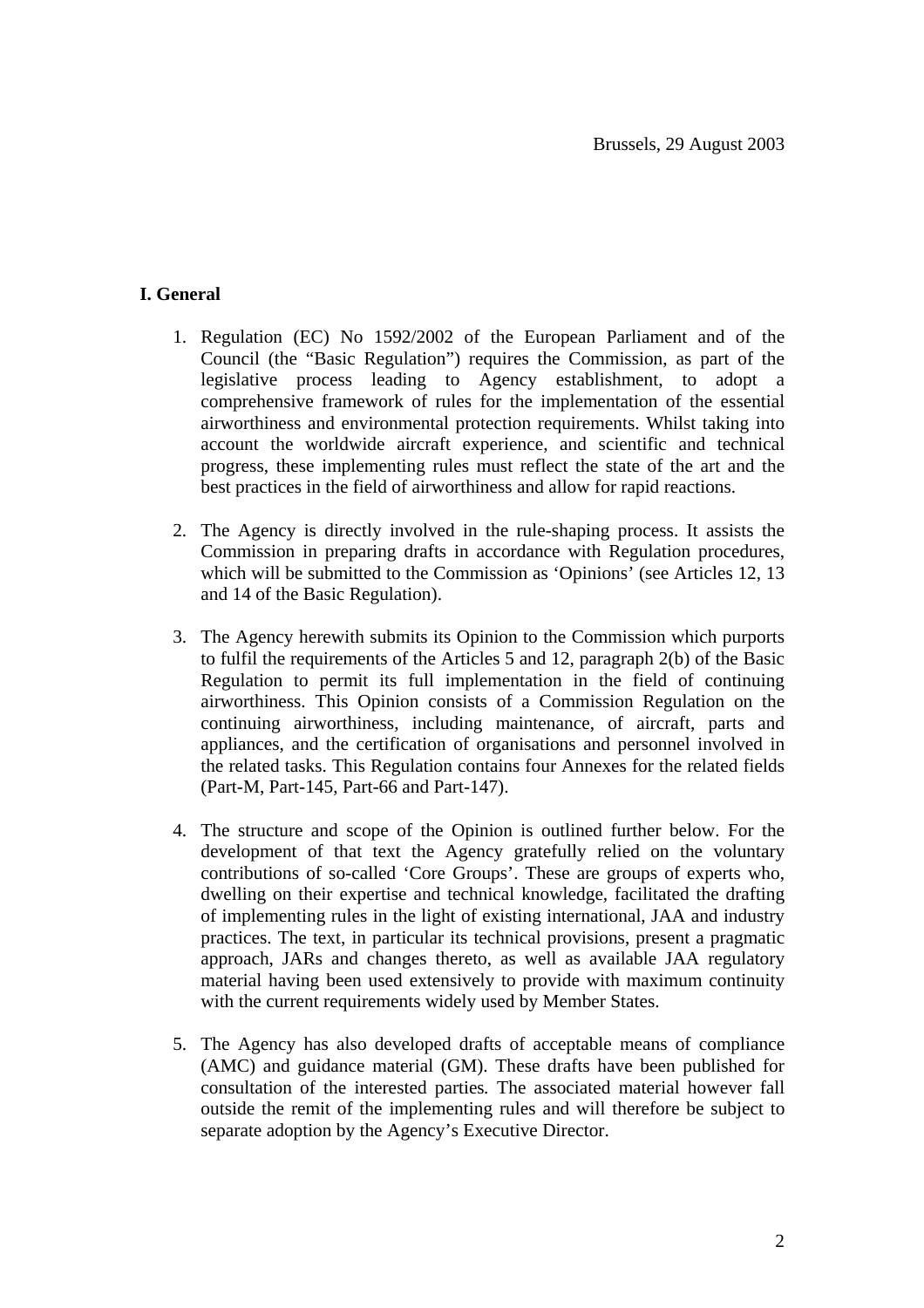# **I. General**

- 1. Regulation (EC) No 1592/2002 of the European Parliament and of the Council (the "Basic Regulation") requires the Commission, as part of the legislative process leading to Agency establishment, to adopt a comprehensive framework of rules for the implementation of the essential airworthiness and environmental protection requirements. Whilst taking into account the worldwide aircraft experience, and scientific and technical progress, these implementing rules must reflect the state of the art and the best practices in the field of airworthiness and allow for rapid reactions.
- 2. The Agency is directly involved in the rule-shaping process. It assists the Commission in preparing drafts in accordance with Regulation procedures, which will be submitted to the Commission as 'Opinions' (see Articles 12, 13) and 14 of the Basic Regulation).
- 3. The Agency herewith submits its Opinion to the Commission which purports to fulfil the requirements of the Articles 5 and 12, paragraph 2(b) of the Basic Regulation to permit its full implementation in the field of continuing airworthiness. This Opinion consists of a Commission Regulation on the continuing airworthiness, including maintenance, of aircraft, parts and appliances, and the certification of organisations and personnel involved in the related tasks. This Regulation contains four Annexes for the related fields (Part-M, Part-145, Part-66 and Part-147).
- 4. The structure and scope of the Opinion is outlined further below. For the development of that text the Agency gratefully relied on the voluntary contributions of so-called 'Core Groups'. These are groups of experts who, dwelling on their expertise and technical knowledge, facilitated the drafting of implementing rules in the light of existing international, JAA and industry practices. The text, in particular its technical provisions, present a pragmatic approach, JARs and changes thereto, as well as available JAA regulatory material having been used extensively to provide with maximum continuity with the current requirements widely used by Member States.
- 5. The Agency has also developed drafts of acceptable means of compliance (AMC) and guidance material (GM). These drafts have been published for consultation of the interested parties*.* The associated material however fall outside the remit of the implementing rules and will therefore be subject to separate adoption by the Agency's Executive Director.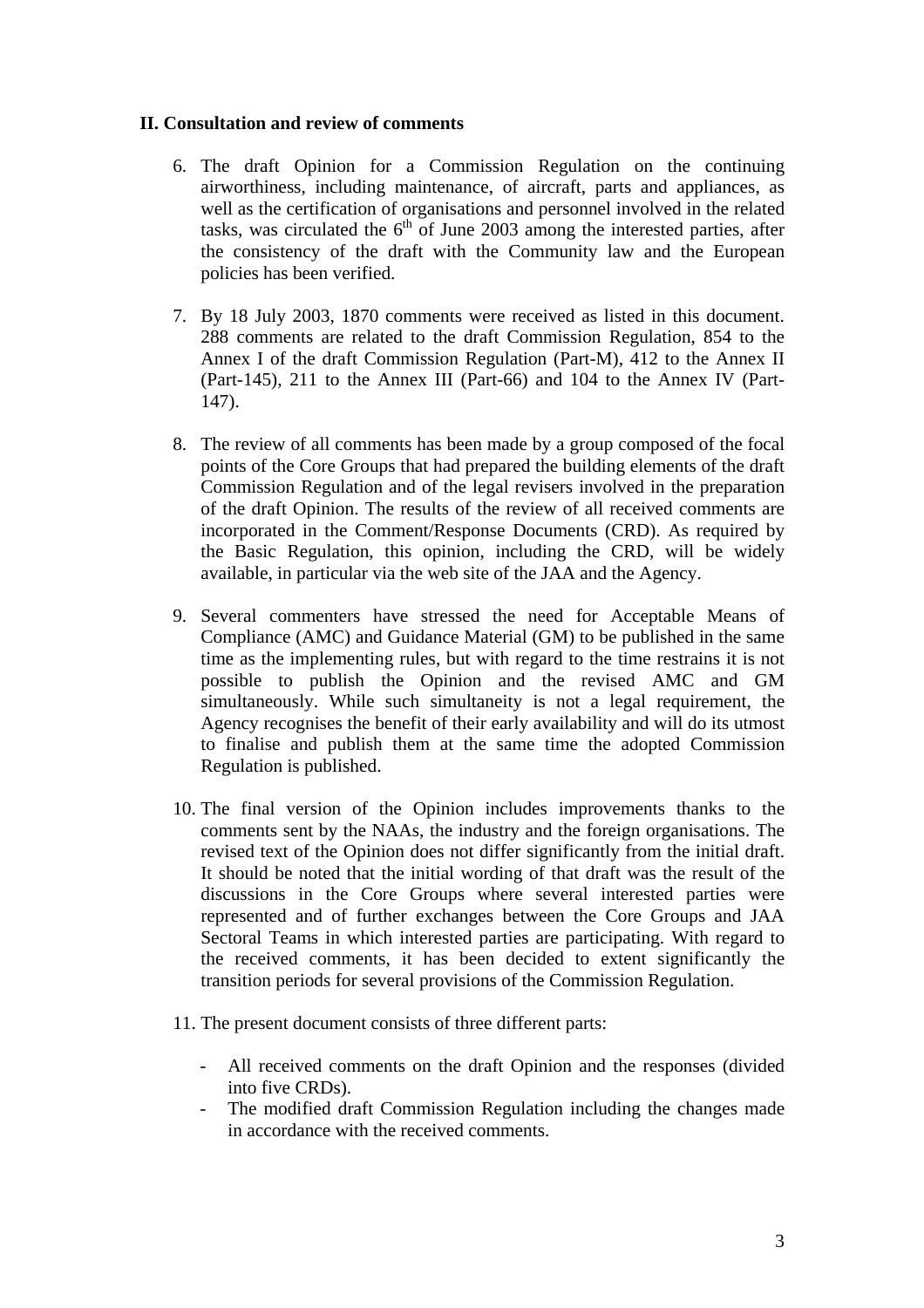## **II. Consultation and review of comments**

- 6. The draft Opinion for a Commission Regulation on the continuing airworthiness, including maintenance, of aircraft, parts and appliances, as well as the certification of organisations and personnel involved in the related tasks, was circulated the  $6<sup>th</sup>$  of June 2003 among the interested parties, after the consistency of the draft with the Community law and the European policies has been verified.
- 7. By 18 July 2003, 1870 comments were received as listed in this document. 288 comments are related to the draft Commission Regulation, 854 to the Annex I of the draft Commission Regulation (Part-M), 412 to the Annex II (Part-145), 211 to the Annex III (Part-66) and 104 to the Annex IV (Part-147).
- 8. The review of all comments has been made by a group composed of the focal points of the Core Groups that had prepared the building elements of the draft Commission Regulation and of the legal revisers involved in the preparation of the draft Opinion. The results of the review of all received comments are incorporated in the Comment/Response Documents (CRD). As required by the Basic Regulation, this opinion, including the CRD, will be widely available, in particular via the web site of the JAA and the Agency.
- 9. Several commenters have stressed the need for Acceptable Means of Compliance (AMC) and Guidance Material (GM) to be published in the same time as the implementing rules, but with regard to the time restrains it is not possible to publish the Opinion and the revised AMC and GM simultaneously. While such simultaneity is not a legal requirement, the Agency recognises the benefit of their early availability and will do its utmost to finalise and publish them at the same time the adopted Commission Regulation is published.
- 10. The final version of the Opinion includes improvements thanks to the comments sent by the NAAs, the industry and the foreign organisations. The revised text of the Opinion does not differ significantly from the initial draft. It should be noted that the initial wording of that draft was the result of the discussions in the Core Groups where several interested parties were represented and of further exchanges between the Core Groups and JAA Sectoral Teams in which interested parties are participating. With regard to the received comments, it has been decided to extent significantly the transition periods for several provisions of the Commission Regulation.
- 11. The present document consists of three different parts:
	- All received comments on the draft Opinion and the responses (divided into five CRDs).
	- The modified draft Commission Regulation including the changes made in accordance with the received comments.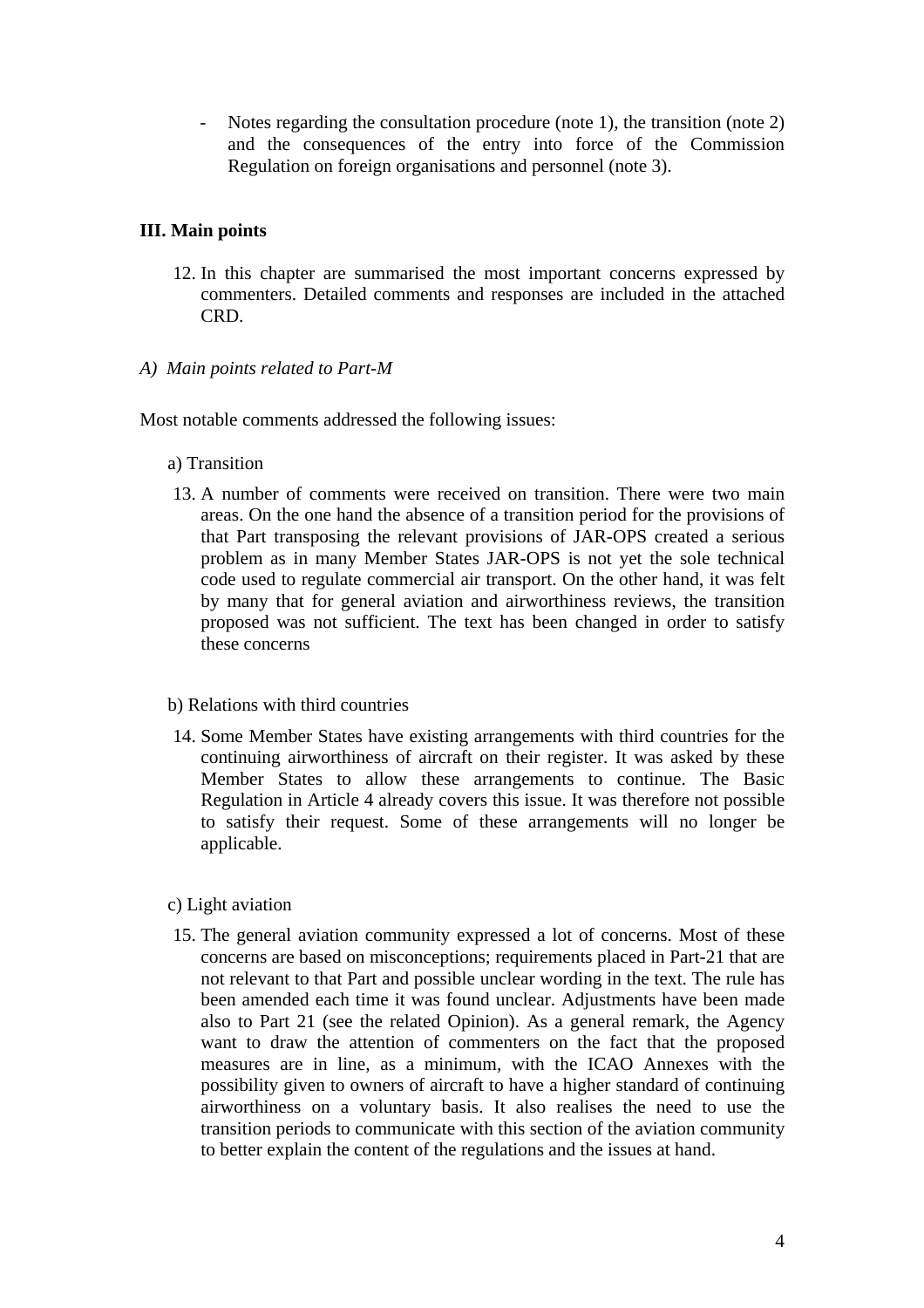Notes regarding the consultation procedure (note 1), the transition (note 2) and the consequences of the entry into force of the Commission Regulation on foreign organisations and personnel (note 3).

## **III. Main points**

12. In this chapter are summarised the most important concerns expressed by commenters. Detailed comments and responses are included in the attached CRD.

#### *A) Main points related to Part-M*

Most notable comments addressed the following issues:

#### a) Transition

13. A number of comments were received on transition. There were two main areas. On the one hand the absence of a transition period for the provisions of that Part transposing the relevant provisions of JAR-OPS created a serious problem as in many Member States JAR-OPS is not yet the sole technical code used to regulate commercial air transport. On the other hand, it was felt by many that for general aviation and airworthiness reviews, the transition proposed was not sufficient. The text has been changed in order to satisfy these concerns

#### b) Relations with third countries

14. Some Member States have existing arrangements with third countries for the continuing airworthiness of aircraft on their register. It was asked by these Member States to allow these arrangements to continue. The Basic Regulation in Article 4 already covers this issue. It was therefore not possible to satisfy their request. Some of these arrangements will no longer be applicable.

## c) Light aviation

15. The general aviation community expressed a lot of concerns. Most of these concerns are based on misconceptions; requirements placed in Part-21 that are not relevant to that Part and possible unclear wording in the text. The rule has been amended each time it was found unclear. Adjustments have been made also to Part 21 (see the related Opinion). As a general remark, the Agency want to draw the attention of commenters on the fact that the proposed measures are in line, as a minimum, with the ICAO Annexes with the possibility given to owners of aircraft to have a higher standard of continuing airworthiness on a voluntary basis. It also realises the need to use the transition periods to communicate with this section of the aviation community to better explain the content of the regulations and the issues at hand.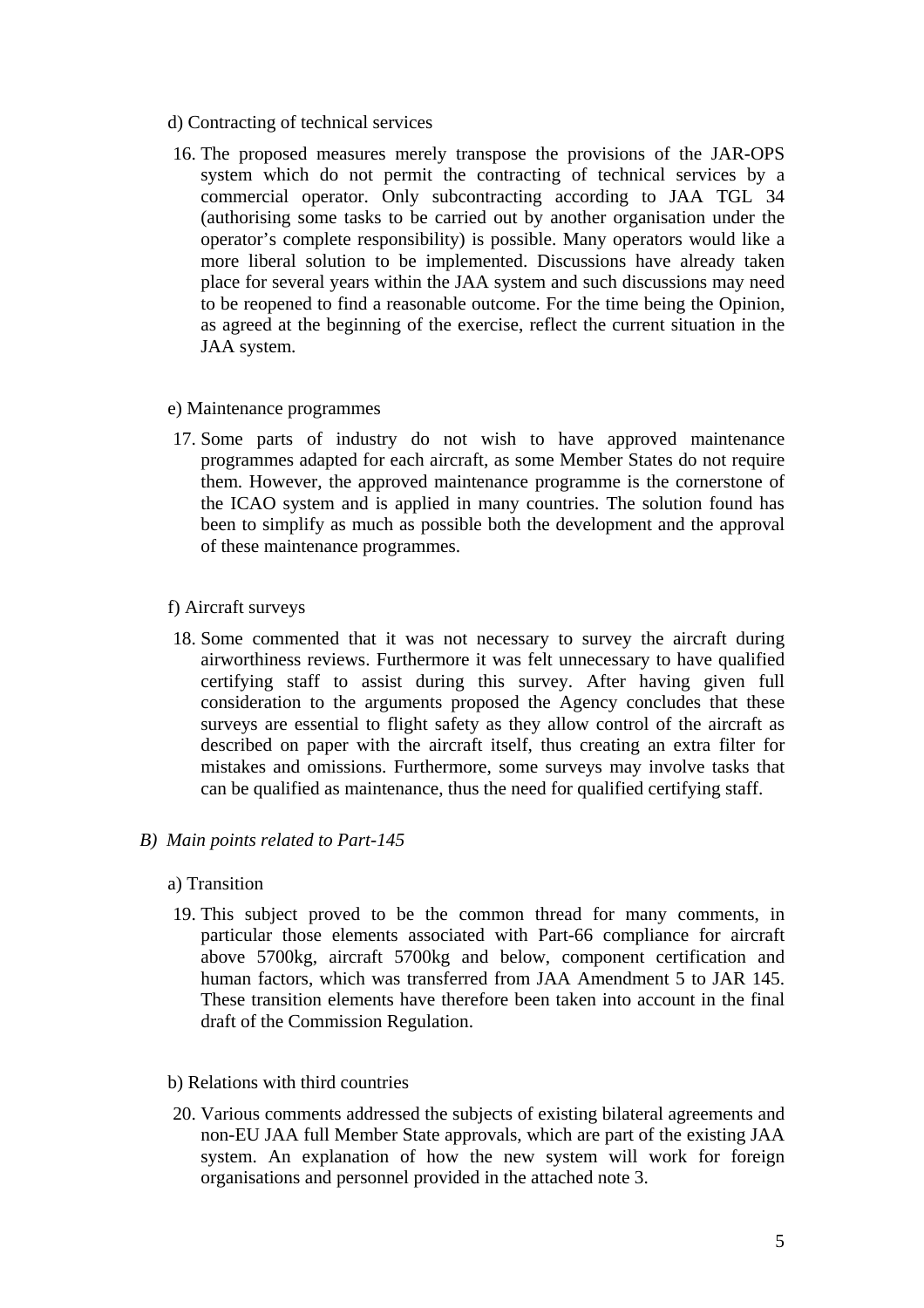- d) Contracting of technical services
- 16. The proposed measures merely transpose the provisions of the JAR-OPS system which do not permit the contracting of technical services by a commercial operator. Only subcontracting according to JAA TGL 34 (authorising some tasks to be carried out by another organisation under the operator's complete responsibility) is possible. Many operators would like a more liberal solution to be implemented. Discussions have already taken place for several years within the JAA system and such discussions may need to be reopened to find a reasonable outcome. For the time being the Opinion, as agreed at the beginning of the exercise, reflect the current situation in the JAA system.

### e) Maintenance programmes

17. Some parts of industry do not wish to have approved maintenance programmes adapted for each aircraft, as some Member States do not require them. However, the approved maintenance programme is the cornerstone of the ICAO system and is applied in many countries. The solution found has been to simplify as much as possible both the development and the approval of these maintenance programmes.

## f) Aircraft surveys

18. Some commented that it was not necessary to survey the aircraft during airworthiness reviews. Furthermore it was felt unnecessary to have qualified certifying staff to assist during this survey. After having given full consideration to the arguments proposed the Agency concludes that these surveys are essential to flight safety as they allow control of the aircraft as described on paper with the aircraft itself, thus creating an extra filter for mistakes and omissions. Furthermore, some surveys may involve tasks that can be qualified as maintenance, thus the need for qualified certifying staff.

## *B) Main points related to Part-145*

#### a) Transition

- 19. This subject proved to be the common thread for many comments, in particular those elements associated with Part-66 compliance for aircraft above 5700kg, aircraft 5700kg and below, component certification and human factors, which was transferred from JAA Amendment 5 to JAR 145. These transition elements have therefore been taken into account in the final draft of the Commission Regulation.
- b) Relations with third countries
- 20. Various comments addressed the subjects of existing bilateral agreements and non-EU JAA full Member State approvals, which are part of the existing JAA system. An explanation of how the new system will work for foreign organisations and personnel provided in the attached note 3.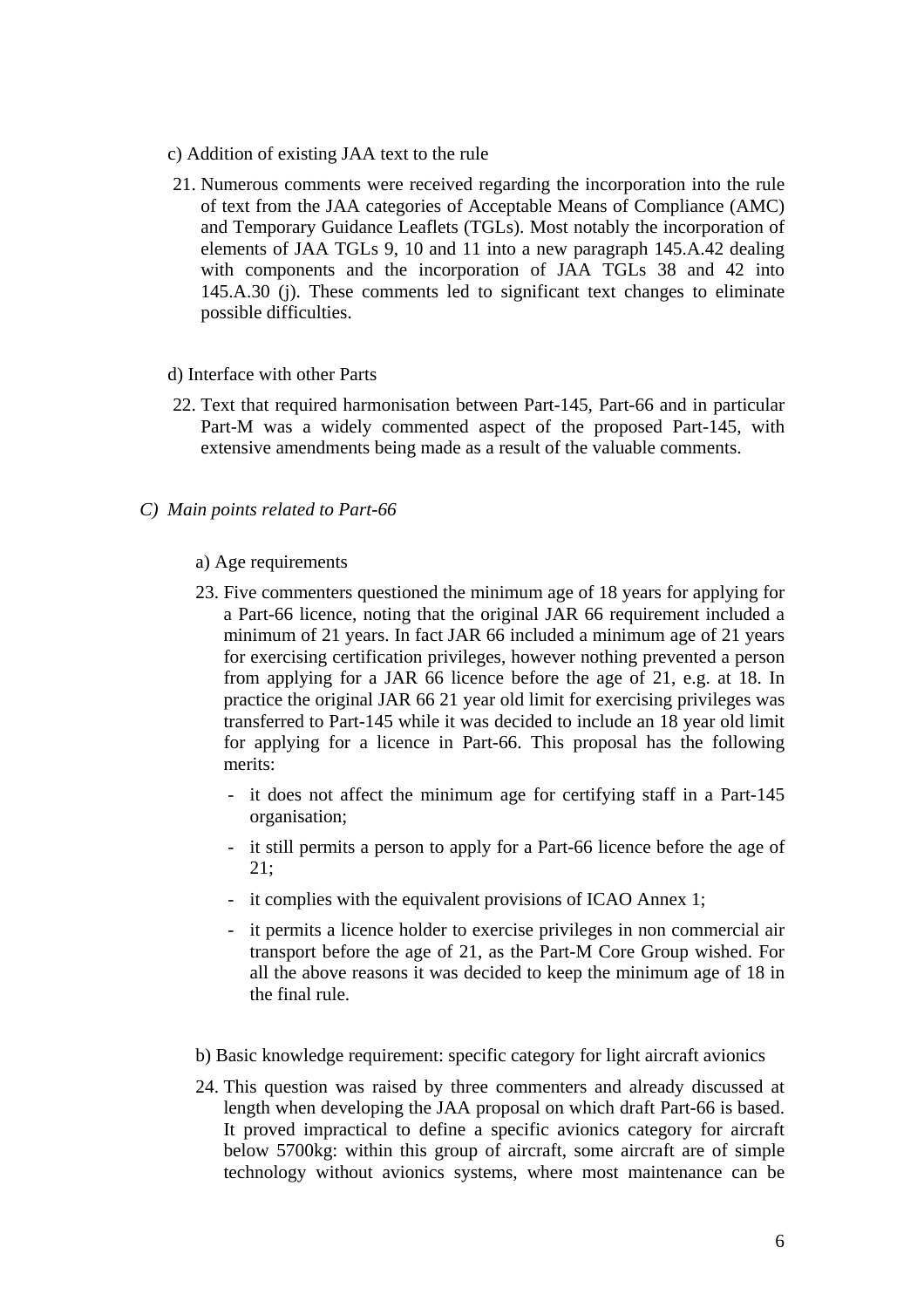- c) Addition of existing JAA text to the rule
- 21. Numerous comments were received regarding the incorporation into the rule of text from the JAA categories of Acceptable Means of Compliance (AMC) and Temporary Guidance Leaflets (TGLs). Most notably the incorporation of elements of JAA TGLs 9, 10 and 11 into a new paragraph 145.A.42 dealing with components and the incorporation of JAA TGLs 38 and 42 into 145.A.30 (j). These comments led to significant text changes to eliminate possible difficulties.
- d) Interface with other Parts
- 22. Text that required harmonisation between Part-145, Part-66 and in particular Part-M was a widely commented aspect of the proposed Part-145, with extensive amendments being made as a result of the valuable comments.
- *C) Main points related to Part-66* 
	- a) Age requirements
	- 23. Five commenters questioned the minimum age of 18 years for applying for a Part-66 licence, noting that the original JAR 66 requirement included a minimum of 21 years. In fact JAR 66 included a minimum age of 21 years for exercising certification privileges, however nothing prevented a person from applying for a JAR 66 licence before the age of 21, e.g. at 18. In practice the original JAR 66 21 year old limit for exercising privileges was transferred to Part-145 while it was decided to include an 18 year old limit for applying for a licence in Part-66. This proposal has the following merits:
		- it does not affect the minimum age for certifying staff in a Part-145 organisation;
		- it still permits a person to apply for a Part-66 licence before the age of 21;
		- it complies with the equivalent provisions of ICAO Annex 1;
		- it permits a licence holder to exercise privileges in non commercial air transport before the age of 21, as the Part-M Core Group wished. For all the above reasons it was decided to keep the minimum age of 18 in the final rule.
	- b) Basic knowledge requirement: specific category for light aircraft avionics
	- 24. This question was raised by three commenters and already discussed at length when developing the JAA proposal on which draft Part-66 is based. It proved impractical to define a specific avionics category for aircraft below 5700kg: within this group of aircraft, some aircraft are of simple technology without avionics systems, where most maintenance can be